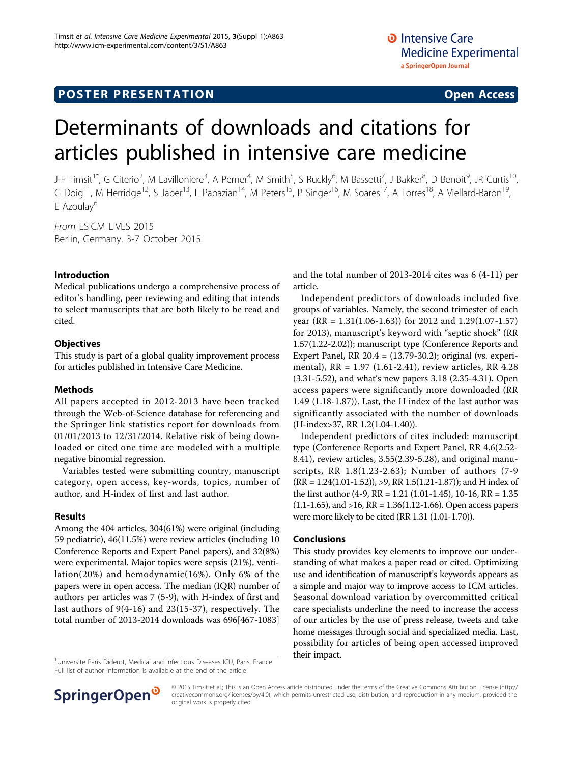# Determinants of downloads and citations for articles published in intensive care medicine

J-F Timsit<sup>1\*</sup>, G Citerio<sup>2</sup>, M Lavilloniere<sup>3</sup>, A Perner<sup>4</sup>, M Smith<sup>5</sup>, S Ruckly<sup>6</sup>, M Bassetti<sup>7</sup>, J Bakker<sup>8</sup>, D Benoit<sup>9</sup>, JR Curtis<sup>10</sup>, G Doig<sup>11</sup>, M Herridge<sup>12</sup>, S Jaber<sup>13</sup>, L Papazian<sup>14</sup>, M Peters<sup>15</sup>, P Singer<sup>16</sup>, M Soares<sup>17</sup>, A Torres<sup>18</sup>, A Viellard-Baron<sup>19</sup>, E Azoulay<sup>6</sup>

From ESICM LIVES 2015 Berlin, Germany. 3-7 October 2015

## Introduction

Medical publications undergo a comprehensive process of editor's handling, peer reviewing and editing that intends to select manuscripts that are both likely to be read and cited.

# **Objectives**

This study is part of a global quality improvement process for articles published in Intensive Care Medicine.

## Methods

All papers accepted in 2012-2013 have been tracked through the Web-of-Science database for referencing and the Springer link statistics report for downloads from 01/01/2013 to 12/31/2014. Relative risk of being downloaded or cited one time are modeled with a multiple negative binomial regression.

Variables tested were submitting country, manuscript category, open access, key-words, topics, number of author, and H-index of first and last author.

## Results

Among the 404 articles, 304(61%) were original (including 59 pediatric), 46(11.5%) were review articles (including 10 Conference Reports and Expert Panel papers), and 32(8%) were experimental. Major topics were sepsis (21%), ventilation(20%) and hemodynamic(16%). Only 6% of the papers were in open access. The median (IQR) number of authors per articles was 7 (5-9), with H-index of first and last authors of 9(4-16) and 23(15-37), respectively. The total number of 2013-2014 downloads was 696[467-1083]

<sup>1</sup>Universite Paris Diderot, Medical and Infectious Diseases ICU, Paris, France **their impact.** Full list of author information is available at the end of the article

and the total number of 2013-2014 cites was 6 (4-11) per article.

Independent predictors of downloads included five groups of variables. Namely, the second trimester of each year (RR = 1.31(1.06-1.63)) for 2012 and 1.29(1.07-1.57) for 2013), manuscript's keyword with "septic shock" (RR 1.57(1.22-2.02)); manuscript type (Conference Reports and Expert Panel, RR  $20.4 = (13.79-30.2)$ ; original (vs. experimental), RR = 1.97 (1.61-2.41), review articles, RR 4.28 (3.31-5.52), and what's new papers 3.18 (2.35-4.31). Open access papers were significantly more downloaded (RR 1.49 (1.18-1.87)). Last, the H index of the last author was significantly associated with the number of downloads (H-index>37, RR 1.2(1.04-1.40)).

Independent predictors of cites included: manuscript type (Conference Reports and Expert Panel, RR 4.6(2.52- 8.41), review articles, 3.55(2.39-5.28), and original manuscripts, RR 1.8(1.23-2.63); Number of authors (7-9  $(RR = 1.24(1.01-1.52))$ , >9, RR 1.5(1.21-1.87)); and H index of the first author (4-9, RR = 1.21 (1.01-1.45), 10-16, RR = 1.35  $(1.1-1.65)$ , and  $>16$ , RR = 1.36 $(1.12-1.66)$ . Open access papers were more likely to be cited (RR 1.31 (1.01-1.70)).

## Conclusions

This study provides key elements to improve our understanding of what makes a paper read or cited. Optimizing use and identification of manuscript's keywords appears as a simple and major way to improve access to ICM articles. Seasonal download variation by overcommitted critical care specialists underline the need to increase the access of our articles by the use of press release, tweets and take home messages through social and specialized media. Last, possibility for articles of being open accessed improved



© 2015 Timsit et al.; This is an Open Access article distributed under the terms of the Creative Commons Attribution License [\(http://](http://creativecommons.org/licenses/by/4.0) [creativecommons.org/licenses/by/4.0](http://creativecommons.org/licenses/by/4.0)), which permits unrestricted use, distribution, and reproduction in any medium, provided the original work is properly cited.